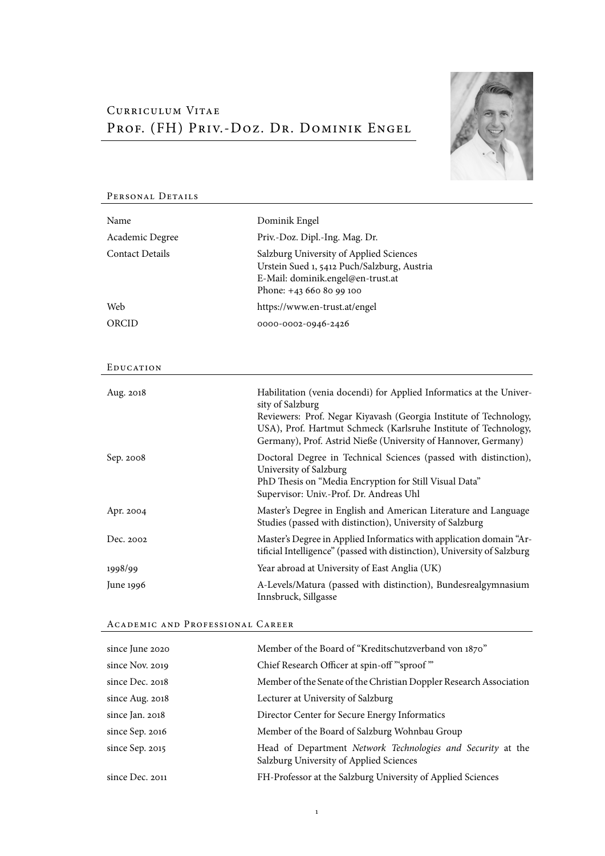## Curriculum Vitae PROF. (FH) PRIV.-DOZ. DR. DOMINIK ENGEL



| Name                   | Dominik Engel                                                                                                                                                                                                                                                                                     |
|------------------------|---------------------------------------------------------------------------------------------------------------------------------------------------------------------------------------------------------------------------------------------------------------------------------------------------|
| Academic Degree        | Priv.-Doz. Dipl.-Ing. Mag. Dr.                                                                                                                                                                                                                                                                    |
| <b>Contact Details</b> | Salzburg University of Applied Sciences<br>Urstein Sued 1, 5412 Puch/Salzburg, Austria<br>E-Mail: dominik.engel@en-trust.at<br>Phone: +43 660 80 99 100                                                                                                                                           |
| Web                    | https://www.en-trust.at/engel                                                                                                                                                                                                                                                                     |
| ORCID                  | 0000-0002-0946-2426                                                                                                                                                                                                                                                                               |
|                        |                                                                                                                                                                                                                                                                                                   |
| EDUCATION              |                                                                                                                                                                                                                                                                                                   |
| Aug. 2018              | Habilitation (venia docendi) for Applied Informatics at the Univer-<br>sity of Salzburg<br>Reviewers: Prof. Negar Kiyavash (Georgia Institute of Technology,<br>USA), Prof. Hartmut Schmeck (Karlsruhe Institute of Technology,<br>Germany), Prof. Astrid Nieße (University of Hannover, Germany) |
| Sep. 2008              | Doctoral Degree in Technical Sciences (passed with distinction),<br>University of Salzburg<br>PhD Thesis on "Media Encryption for Still Visual Data"<br>Supervisor: Univ.-Prof. Dr. Andreas Uhl                                                                                                   |
| Apr. 2004              | Master's Degree in English and American Literature and Language<br>Studies (passed with distinction), University of Salzburg                                                                                                                                                                      |
| Dec. 2002              | Master's Degree in Applied Informatics with application domain "Ar-<br>tificial Intelligence" (passed with distinction), University of Salzburg                                                                                                                                                   |
| 1998/99                | Year abroad at University of East Anglia (UK)                                                                                                                                                                                                                                                     |
| June 1996              | A-Levels/Matura (passed with distinction), Bundesrealgymnasium<br>Innsbruck, Sillgasse                                                                                                                                                                                                            |

# PERSONAL DETAILS

## ACADEMIC AND PROFESSIONAL CAREER

| since June 2020 | Member of the Board of "Kreditschutzverband von 1870"                                                  |
|-----------------|--------------------------------------------------------------------------------------------------------|
| since Nov. 2019 | Chief Research Officer at spin-off "'sproof"                                                           |
| since Dec. 2018 | Member of the Senate of the Christian Doppler Research Association                                     |
| since Aug. 2018 | Lecturer at University of Salzburg                                                                     |
| since Jan. 2018 | Director Center for Secure Energy Informatics                                                          |
| since Sep. 2016 | Member of the Board of Salzburg Wohnbau Group                                                          |
| since Sep. 2015 | Head of Department Network Technologies and Security at the<br>Salzburg University of Applied Sciences |
| since Dec. 2011 | FH-Professor at the Salzburg University of Applied Sciences                                            |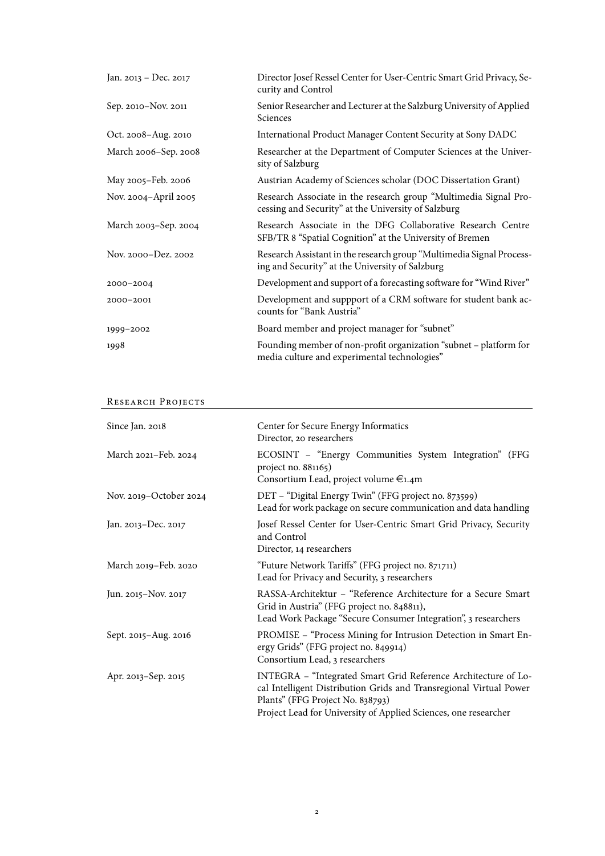| Jan. 2013 - Dec. 2017 | Director Josef Ressel Center for User-Centric Smart Grid Privacy, Se-<br>curity and Control                             |
|-----------------------|-------------------------------------------------------------------------------------------------------------------------|
| Sep. 2010-Nov. 2011   | Senior Researcher and Lecturer at the Salzburg University of Applied<br>Sciences                                        |
| Oct. 2008–Aug. 2010   | International Product Manager Content Security at Sony DADC                                                             |
| March 2006-Sep. 2008  | Researcher at the Department of Computer Sciences at the Univer-<br>sity of Salzburg                                    |
| May 2005–Feb. 2006    | Austrian Academy of Sciences scholar (DOC Dissertation Grant)                                                           |
| Nov. 2004-April 2005  | Research Associate in the research group "Multimedia Signal Pro-<br>cessing and Security" at the University of Salzburg |
| March 2003-Sep. 2004  | Research Associate in the DFG Collaborative Research Centre<br>SFB/TR 8 "Spatial Cognition" at the University of Bremen |
| Nov. 2000-Dez. 2002   | Research Assistant in the research group "Multimedia Signal Process-<br>ing and Security" at the University of Salzburg |
| 2000-2004             | Development and support of a forecasting software for "Wind River"                                                      |
| 2000-2001             | Development and suppport of a CRM software for student bank ac-<br>counts for "Bank Austria"                            |
| 1999-2002             | Board member and project manager for "subnet"                                                                           |
| 1998                  | Founding member of non-profit organization "subnet - platform for<br>media culture and experimental technologies"       |

### RESEARCH PROJECTS

| Since Jan. 2018        | Center for Secure Energy Informatics<br>Director, 20 researchers                                                                                                                                                                            |
|------------------------|---------------------------------------------------------------------------------------------------------------------------------------------------------------------------------------------------------------------------------------------|
| March 2021-Feb. 2024   | ECOSINT - "Energy Communities System Integration" (FFG<br>project no. 881165)<br>Consortium Lead, project volume €1.4m                                                                                                                      |
| Nov. 2019-October 2024 | DET - "Digital Energy Twin" (FFG project no. 873599)<br>Lead for work package on secure communication and data handling                                                                                                                     |
| Jan. 2013-Dec. 2017    | Josef Ressel Center for User-Centric Smart Grid Privacy, Security<br>and Control<br>Director, 14 researchers                                                                                                                                |
| March 2019-Feb. 2020   | "Future Network Tariffs" (FFG project no. 871711)<br>Lead for Privacy and Security, 3 researchers                                                                                                                                           |
| Jun. 2015-Nov. 2017    | RASSA-Architektur - "Reference Architecture for a Secure Smart<br>Grid in Austria" (FFG project no. 848811),<br>Lead Work Package "Secure Consumer Integration", 3 researchers                                                              |
| Sept. 2015-Aug. 2016   | PROMISE - "Process Mining for Intrusion Detection in Smart En-<br>ergy Grids" (FFG project no. 849914)<br>Consortium Lead, 3 researchers                                                                                                    |
| Apr. 2013–Sep. 2015    | INTEGRA - "Integrated Smart Grid Reference Architecture of Lo-<br>cal Intelligent Distribution Grids and Transregional Virtual Power<br>Plants" (FFG Project No. 838793)<br>Project Lead for University of Applied Sciences, one researcher |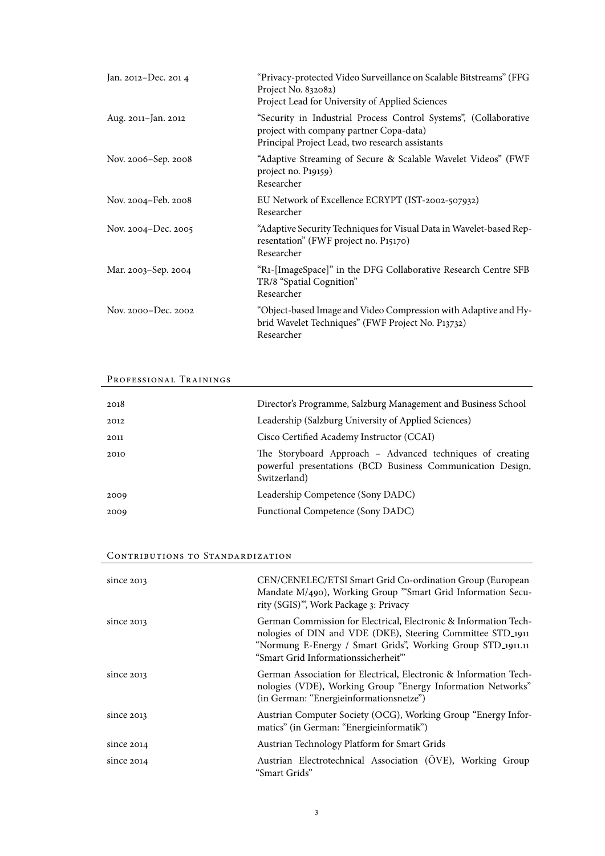| Jan. 2012-Dec. 2014 | "Privacy-protected Video Surveillance on Scalable Bitstreams" (FFG<br>Project No. 832082)<br>Project Lead for University of Applied Sciences                   |
|---------------------|----------------------------------------------------------------------------------------------------------------------------------------------------------------|
| Aug. 2011-Jan. 2012 | "Security in Industrial Process Control Systems", (Collaborative<br>project with company partner Copa-data)<br>Principal Project Lead, two research assistants |
| Nov. 2006–Sep. 2008 | "Adaptive Streaming of Secure & Scalable Wavelet Videos" (FWF<br>project no. P19159)<br>Researcher                                                             |
| Nov. 2004–Feb. 2008 | EU Network of Excellence ECRYPT (IST-2002-507932)<br>Researcher                                                                                                |
| Nov. 2004-Dec. 2005 | "Adaptive Security Techniques for Visual Data in Wavelet-based Rep-<br>resentation" (FWF project no. P15170)<br>Researcher                                     |
| Mar. 2003–Sep. 2004 | "R1-[ImageSpace]" in the DFG Collaborative Research Centre SFB<br>TR/8 "Spatial Cognition"<br>Researcher                                                       |
| Nov. 2000-Dec. 2002 | "Object-based Image and Video Compression with Adaptive and Hy-<br>brid Wavelet Techniques" (FWF Project No. P13732)<br>Researcher                             |

## PROFESSIONAL TRAININGS

| 2018 | Director's Programme, Salzburg Management and Business School                                                                           |
|------|-----------------------------------------------------------------------------------------------------------------------------------------|
| 2012 | Leadership (Salzburg University of Applied Sciences)                                                                                    |
| 2011 | Cisco Certified Academy Instructor (CCAI)                                                                                               |
| 2010 | The Storyboard Approach – Advanced techniques of creating<br>powerful presentations (BCD Business Communication Design,<br>Switzerland) |
| 2009 | Leadership Competence (Sony DADC)                                                                                                       |
| 2009 | Functional Competence (Sony DADC)                                                                                                       |
|      |                                                                                                                                         |

## CONTRIBUTIONS TO STANDARDIZATION

| since 2013   | CEN/CENELEC/ETSI Smart Grid Co-ordination Group (European<br>Mandate M/490), Working Group "'Smart Grid Information Secu-<br>rity (SGIS)", Work Package 3: Privacy                                                                               |
|--------------|--------------------------------------------------------------------------------------------------------------------------------------------------------------------------------------------------------------------------------------------------|
| since $2013$ | German Commission for Electrical, Electronic & Information Tech-<br>nologies of DIN and VDE (DKE), Steering Committee STD <sub>-1911</sub><br>"Normung E-Energy / Smart Grids", Working Group STD_1911.11<br>"Smart Grid Informationssicherheit" |
| since 2013   | German Association for Electrical, Electronic & Information Tech-<br>nologies (VDE), Working Group "Energy Information Networks"<br>(in German: "Energieinformationsnetze")                                                                      |
| since $2013$ | Austrian Computer Society (OCG), Working Group "Energy Infor-<br>matics" (in German: "Energieinformatik")                                                                                                                                        |
| since $2014$ | Austrian Technology Platform for Smart Grids                                                                                                                                                                                                     |
| since $2014$ | Austrian Electrotechnical Association (ÖVE), Working Group<br>"Smart Grids"                                                                                                                                                                      |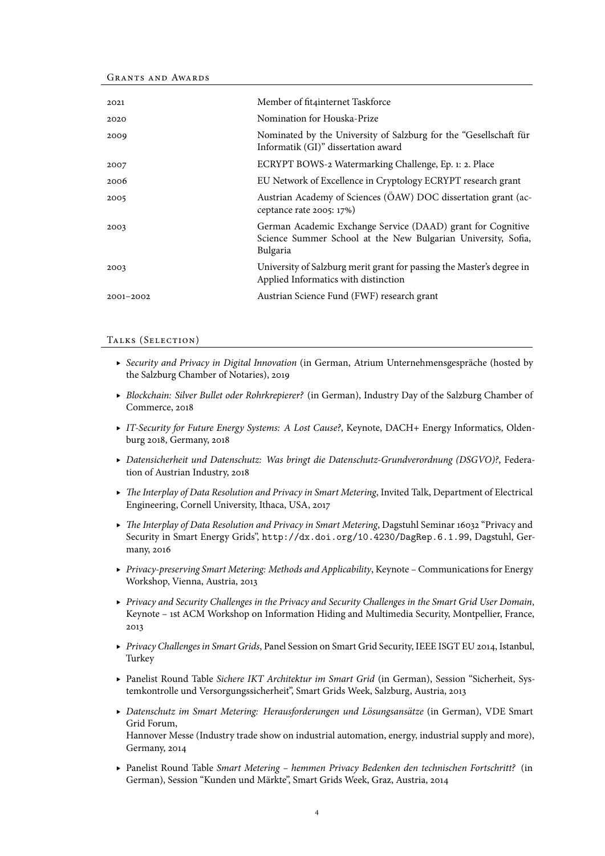Grants and Awards

| 2021          | Member of fit4internet Taskforce                                                                                                         |
|---------------|------------------------------------------------------------------------------------------------------------------------------------------|
| 2020          | Nomination for Houska-Prize                                                                                                              |
| 2009          | Nominated by the University of Salzburg for the "Gesellschaft für<br>Informatik (GI)" dissertation award                                 |
| 2007          | ECRYPT BOWS-2 Watermarking Challenge, Ep. 1: 2. Place                                                                                    |
| 2006          | EU Network of Excellence in Cryptology ECRYPT research grant                                                                             |
| 2005          | Austrian Academy of Sciences (OAW) DOC dissertation grant (ac-<br>ceptance rate 2005: 17%)                                               |
| 2003          | German Academic Exchange Service (DAAD) grant for Cognitive<br>Science Summer School at the New Bulgarian University, Sofia,<br>Bulgaria |
| 2003          | University of Salzburg merit grant for passing the Master's degree in<br>Applied Informatics with distinction                            |
| $2001 - 2002$ | Austrian Science Fund (FWF) research grant                                                                                               |
|               |                                                                                                                                          |

#### TALKS (SELECTION)

- ▶ Security and Privacy in Digital Innovation (in German, Atrium Unternehmensgespräche (hosted by the Salzburg Chamber of Notaries), 2019
- ▸ Blockchain: Silver Bullet oder Rohrkrepierer? (in German), Industry Day of the Salzburg Chamber of Commerce, 2018
- ▸ IT-Security for Future Energy Systems: A Lost Cause?, Keynote, DACH+ Energy Informatics, Oldenburg 2018, Germany, 2018
- ▸ Datensicherheit und Datenschutz: Was bringt die Datenschutz-Grundverordnung (DSGVO)?, Federation of Austrian Industry, 2018
- ▸ The Interplay of Data Resolution and Privacy in Smart Metering, Invited Talk, Department of Electrical Engineering, Cornell University, Ithaca, USA, 2017
- ▸ The Interplay of Data Resolution and Privacy in Smart Metering, Dagstuhl Seminar 16032 "Privacy and Security in Smart Energy Grids", <http://dx.doi.org/10.4230/DagRep.6.1.99>, Dagstuhl, Germany, 2016
- ▸ Privacy-preserving Smart Metering: Methods and Applicability, Keynote Communications for Energy Workshop, Vienna, Austria, 2013
- ▸ Privacy and Security Challenges in the Privacy and Security Challenges in the Smart Grid User Domain, Keynote – 1st ACM Workshop on Information Hiding and Multimedia Security, Montpellier, France, 2013
- ▸ Privacy Challenges in Smart Grids, Panel Session on Smart Grid Security, IEEE ISGT EU 2014, Istanbul, Turkey
- ▸ Panelist Round Table Sichere IKT Architektur im Smart Grid (in German), Session "Sicherheit, Systemkontrolle und Versorgungssicherheit", Smart Grids Week, Salzburg, Austria, 2013
- ▶ Datenschutz im Smart Metering: Herausforderungen und Lösungsansätze (in German), VDE Smart Grid Forum, Hannover Messe (Industry trade show on industrial automation, energy, industrial supply and more), Germany, 2014
- ▸ Panelist Round Table Smart Metering hemmen Privacy Bedenken den technischen Fortschritt? (in German), Session "Kunden und Markte", Smart Grids Week, Graz, Austria, 2014 ¨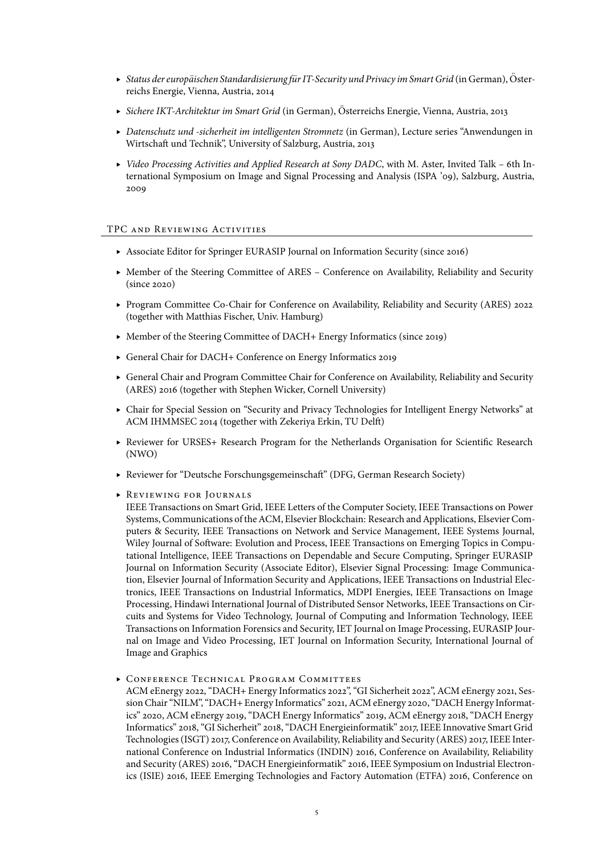- ► Status der europäischen Standardisierung für IT-Security und Privacy im Smart Grid (in German), Österreichs Energie, Vienna, Austria, 2014
- ▸ Sichere IKT-Architektur im Smart Grid (in German), Osterreichs Energie, Vienna, Austria, 2013 ¨
- ▸ Datenschutz und -sicherheit im intelligenten Stromnetz (in German), Lecture series "Anwendungen in Wirtschaft und Technik", University of Salzburg, Austria, 2013
- ▸ Video Processing Activities and Applied Research at Sony DADC, with M. Aster, Invited Talk 6th International Symposium on Image and Signal Processing and Analysis (ISPA '09), Salzburg, Austria, 2009

#### TPC AND REVIEWING ACTIVITIES

- ▸ Associate Editor for Springer EURASIP Journal on Information Security (since 2016)
- ▸ Member of the Steering Committee of ARES Conference on Availability, Reliability and Security (since 2020)
- ▸ Program Committee Co-Chair for Conference on Availability, Reliability and Security (ARES) 2022 (together with Matthias Fischer, Univ. Hamburg)
- ▸ Member of the Steering Committee of DACH+ Energy Informatics (since 2019)
- ▸ General Chair for DACH+ Conference on Energy Informatics 2019
- ▸ General Chair and Program Committee Chair for Conference on Availability, Reliability and Security (ARES) 2016 (together with Stephen Wicker, Cornell University)
- ▸ Chair for Special Session on "Security and Privacy Technologies for Intelligent Energy Networks" at ACM IHMMSEC 2014 (together with Zekeriya Erkin, TU Delft)
- ▸ Reviewer for URSES+ Research Program for the Netherlands Organisation for Scientific Research (NWO)
- ▸ Reviewer for "Deutsche Forschungsgemeinschaft" (DFG, German Research Society)
- ▸ Rev iew ing for Journals

IEEE Transactions on Smart Grid, IEEE Letters of the Computer Society, IEEE Transactions on Power Systems, Communications of the ACM, Elsevier Blockchain: Research and Applications, Elsevier Computers & Security, IEEE Transactions on Network and Service Management, IEEE Systems Journal, Wiley Journal of Software: Evolution and Process, IEEE Transactions on Emerging Topics in Computational Intelligence, IEEE Transactions on Dependable and Secure Computing, Springer EURASIP Journal on Information Security (Associate Editor), Elsevier Signal Processing: Image Communication, Elsevier Journal of Information Security and Applications, IEEE Transactions on Industrial Electronics, IEEE Transactions on Industrial Informatics, MDPI Energies, IEEE Transactions on Image Processing, Hindawi International Journal of Distributed Sensor Networks, IEEE Transactions on Circuits and Systems for Video Technology, Journal of Computing and Information Technology, IEEE Transactions on Information Forensics and Security, IET Journal on Image Processing, EURASIP Journal on Image and Video Processing, IET Journal on Information Security, International Journal of Image and Graphics

**EXERGING CONFERENCE TECHNICAL PROGRAM COMMITTEES** 

ACM eEnergy 2022, "DACH+ Energy Informatics 2022", "GI Sicherheit 2022", ACM eEnergy 2021, Session Chair "NILM", "DACH+ Energy Informatics" 2021, ACM eEnergy 2020, "DACH Energy Informatics" 2020, ACM eEnergy 2019, "DACH Energy Informatics" 2019, ACM eEnergy 2018, "DACH Energy Informatics" 2018, "GI Sicherheit" 2018, "DACH Energieinformatik" 2017, IEEE Innovative Smart Grid Technologies (ISGT) 2017, Conference on Availability, Reliability and Security (ARES) 2017, IEEE International Conference on Industrial Informatics (INDIN) 2016, Conference on Availability, Reliability and Security (ARES) 2016, "DACH Energieinformatik" 2016, IEEE Symposium on Industrial Electronics (ISIE) 2016, IEEE Emerging Technologies and Factory Automation (ETFA) 2016, Conference on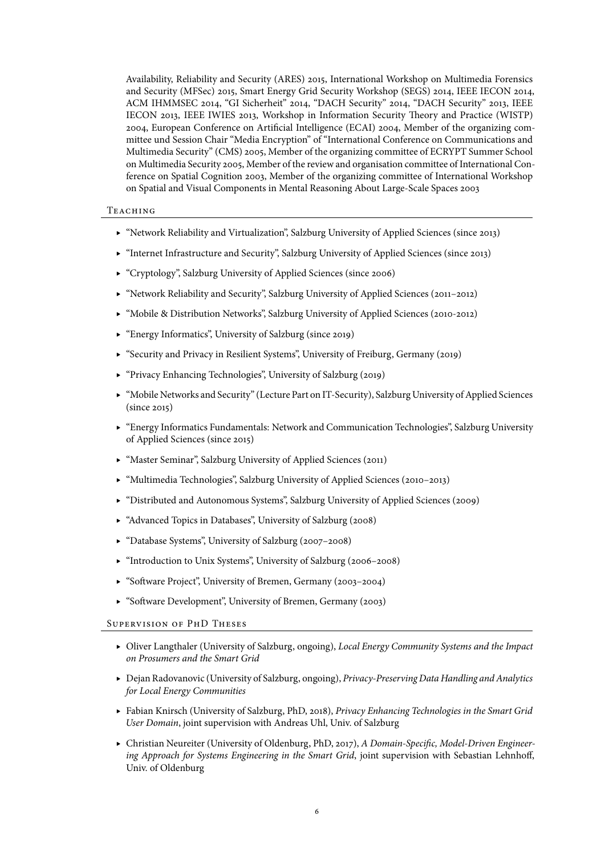Availability, Reliability and Security (ARES) 2015, International Workshop on Multimedia Forensics and Security (MFSec) 2015, Smart Energy Grid Security Workshop (SEGS) 2014, IEEE IECON 2014, ACM IHMMSEC 2014, "GI Sicherheit" 2014, "DACH Security" 2014, "DACH Security" 2013, IEEE IECON 2013, IEEE IWIES 2013, Workshop in Information Security Theory and Practice (WISTP) 2004, European Conference on Artificial Intelligence (ECAI) 2004, Member of the organizing committee und Session Chair "Media Encryption" of "International Conference on Communications and Multimedia Security" (CMS) 2005, Member of the organizing committee of ECRYPT Summer School on Multimedia Security 2005, Member of the review and organisation committee of International Conference on Spatial Cognition 2003, Member of the organizing committee of International Workshop on Spatial and Visual Components in Mental Reasoning About Large-Scale Spaces 2003

#### **TEACHING**

- ▸ "Network Reliability and Virtualization", Salzburg University of Applied Sciences (since 2013)
- ▸ "Internet Infrastructure and Security", Salzburg University of Applied Sciences (since 2013)
- ▸ "Cryptology", Salzburg University of Applied Sciences (since 2006)
- ▸ "Network Reliability and Security", Salzburg University of Applied Sciences (2011–2012)
- ▸ "Mobile & Distribution Networks", Salzburg University of Applied Sciences (2010-2012)
- ▸ "Energy Informatics", University of Salzburg (since 2019)
- ▸ "Security and Privacy in Resilient Systems", University of Freiburg, Germany (2019)
- ▸ "Privacy Enhancing Technologies", University of Salzburg (2019)
- ▸ "Mobile Networks and Security" (Lecture Part on IT-Security), Salzburg University of Applied Sciences (since 2015)
- ▸ "Energy Informatics Fundamentals: Network and Communication Technologies", Salzburg University of Applied Sciences (since 2015)
- ▸ "Master Seminar", Salzburg University of Applied Sciences (2011)
- ▸ "Multimedia Technologies", Salzburg University of Applied Sciences (2010–2013)
- ▸ "Distributed and Autonomous Systems", Salzburg University of Applied Sciences (2009)
- ▸ "Advanced Topics in Databases", University of Salzburg (2008)
- ▸ "Database Systems", University of Salzburg (2007–2008)
- ▸ "Introduction to Unix Systems", University of Salzburg (2006–2008)
- ▸ "Software Project", University of Bremen, Germany (2003–2004)
- ▸ "Software Development", University of Bremen, Germany (2003)

#### SUPERVISION OF PHD THESES

- ▸ Oliver Langthaler (University of Salzburg, ongoing), Local Energy Community Systems and the Impact on Prosumers and the Smart Grid
- ▶ Dejan Radovanovic (University of Salzburg, ongoing), Privacy-Preserving Data Handling and Analytics for Local Energy Communities
- ▸ Fabian Knirsch (University of Salzburg, PhD, 2018), Privacy Enhancing Technologies in the Smart Grid User Domain, joint supervision with Andreas Uhl, Univ. of Salzburg
- ▸ Christian Neureiter (University of Oldenburg, PhD, 2017), A Domain-Specific, Model-Driven Engineering Approach for Systems Engineering in the Smart Grid, joint supervision with Sebastian Lehnhoff, Univ. of Oldenburg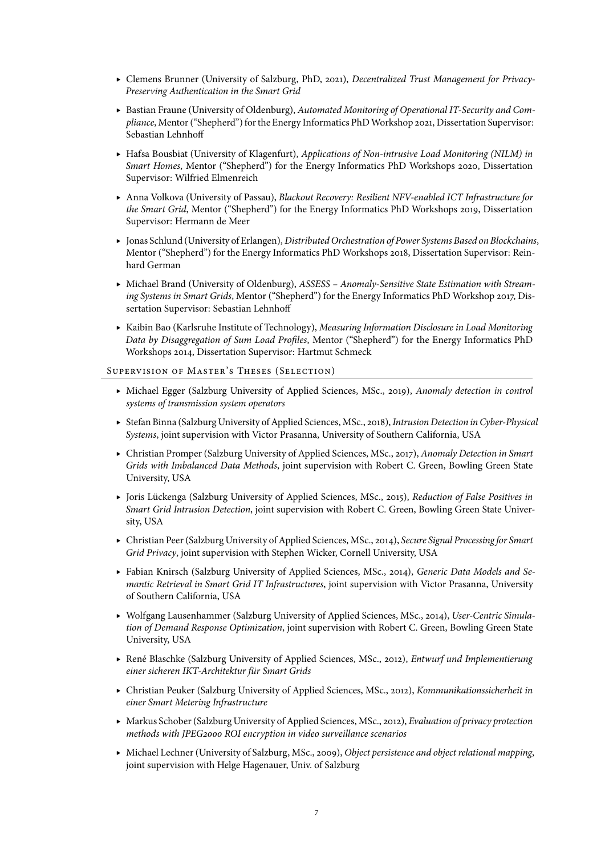- ▸ Clemens Brunner (University of Salzburg, PhD, 2021), Decentralized Trust Management for Privacy-Preserving Authentication in the Smart Grid
- ▸ Bastian Fraune (University of Oldenburg), Automated Monitoring of Operational IT-Security and Compliance, Mentor ("Shepherd") for the Energy Informatics PhDWorkshop 2021, Dissertation Supervisor: Sebastian Lehnhoff
- ▸ Hafsa Bousbiat (University of Klagenfurt), Applications of Non-intrusive Load Monitoring (NILM) in Smart Homes, Mentor ("Shepherd") for the Energy Informatics PhD Workshops 2020, Dissertation Supervisor: Wilfried Elmenreich
- ▸ Anna Volkova (University of Passau), Blackout Recovery: Resilient NFV-enabled ICT Infrastructure for the Smart Grid, Mentor ("Shepherd") for the Energy Informatics PhD Workshops 2019, Dissertation Supervisor: Hermann de Meer
- ▸ Jonas Schlund (University of Erlangen), Distributed Orchestration of Power Systems Based on Blockchains, Mentor ("Shepherd") for the Energy Informatics PhD Workshops 2018, Dissertation Supervisor: Reinhard German
- ▸ Michael Brand (University of Oldenburg), ASSESS Anomaly-Sensitive State Estimation with Streaming Systems in Smart Grids, Mentor ("Shepherd") for the Energy Informatics PhD Workshop 2017, Dissertation Supervisor: Sebastian Lehnhoff
- ▸ Kaibin Bao (Karlsruhe Institute of Technology), Measuring Information Disclosure in Load Monitoring Data by Disaggregation of Sum Load Profiles, Mentor ("Shepherd") for the Energy Informatics PhD Workshops 2014, Dissertation Supervisor: Hartmut Schmeck

### SUPERVISION OF MASTER'S THESES (SELECTION)

- ▸ Michael Egger (Salzburg University of Applied Sciences, MSc., 2019), Anomaly detection in control systems of transmission system operators
- ► Stefan Binna (Salzburg University of Applied Sciences, MSc., 2018), Intrusion Detection in Cyber-Physical Systems, joint supervision with Victor Prasanna, University of Southern California, USA
- ▸ Christian Promper (Salzburg University of Applied Sciences, MSc., 2017), Anomaly Detection in Smart Grids with Imbalanced Data Methods, joint supervision with Robert C. Green, Bowling Green State University, USA
- ▶ Joris Lückenga (Salzburg University of Applied Sciences, MSc., 2015), Reduction of False Positives in Smart Grid Intrusion Detection, joint supervision with Robert C. Green, Bowling Green State University, USA
- ▸ Christian Peer (Salzburg University of Applied Sciences, MSc., 2014), Secure Signal Processing for Smart Grid Privacy, joint supervision with Stephen Wicker, Cornell University, USA
- ▸ Fabian Knirsch (Salzburg University of Applied Sciences, MSc., 2014), Generic Data Models and Semantic Retrieval in Smart Grid IT Infrastructures, joint supervision with Victor Prasanna, University of Southern California, USA
- ▸ Wolfgang Lausenhammer (Salzburg University of Applied Sciences, MSc., 2014), User-Centric Simulation of Demand Response Optimization, joint supervision with Robert C. Green, Bowling Green State University, USA
- ▶ René Blaschke (Salzburg University of Applied Sciences, MSc., 2012), Entwurf und Implementierung einer sicheren IKT-Architektur für Smart Grids
- ▸ Christian Peuker (Salzburg University of Applied Sciences, MSc., 2012), Kommunikationssicherheit in einer Smart Metering Infrastructure
- ▸ Markus Schober (Salzburg University of Applied Sciences, MSc., 2012), Evaluation of privacy protection methods with JPEG2000 ROI encryption in video surveillance scenarios
- ▸ Michael Lechner (University of Salzburg, MSc., 2009), Object persistence and object relational mapping, joint supervision with Helge Hagenauer, Univ. of Salzburg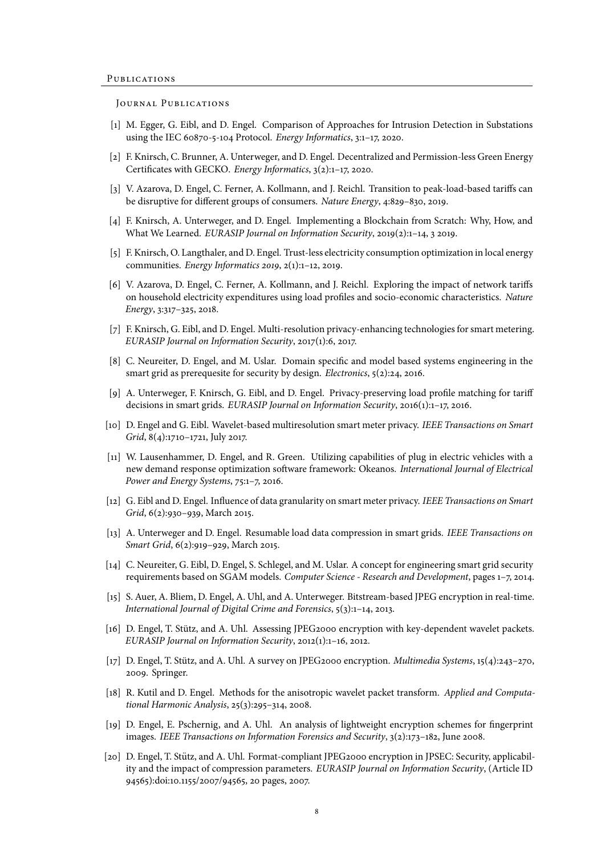#### JOURNAL PUBLICATIONS

- [1] M. Egger, G. Eibl, and D. Engel. Comparison of Approaches for Intrusion Detection in Substations using the IEC 60870-5-104 Protocol. Energy Informatics, 3:1–17, 2020.
- [2] F. Knirsch, C. Brunner, A. Unterweger, and D. Engel. Decentralized and Permission-less Green Energy Certificates with GECKO. Energy Informatics, 3(2):1–17, 2020.
- [3] V. Azarova, D. Engel, C. Ferner, A. Kollmann, and J. Reichl. Transition to peak-load-based tariffs can be disruptive for different groups of consumers. Nature Energy, 4:829–830, 2019.
- [4] F. Knirsch, A. Unterweger, and D. Engel. Implementing a Blockchain from Scratch: Why, How, and What We Learned. EURASIP Journal on Information Security, 2019(2):1–14, 3 2019.
- [5] F. Knirsch, O. Langthaler, and D. Engel. Trust-less electricity consumption optimization in local energy communities. Energy Informatics 2019, 2(1):1–12, 2019.
- [6] V. Azarova, D. Engel, C. Ferner, A. Kollmann, and J. Reichl. Exploring the impact of network tariffs on household electricity expenditures using load profiles and socio-economic characteristics. Nature Energy, 3:317–325, 2018.
- [7] F. Knirsch, G. Eibl, and D. Engel. Multi-resolution privacy-enhancing technologies for smart metering. EURASIP Journal on Information Security, 2017(1):6, 2017.
- [8] C. Neureiter, D. Engel, and M. Uslar. Domain specific and model based systems engineering in the smart grid as prerequesite for security by design. Electronics, 5(2):24, 2016.
- [9] A. Unterweger, F. Knirsch, G. Eibl, and D. Engel. Privacy-preserving load profile matching for tariff decisions in smart grids. EURASIP Journal on Information Security, 2016(1):1-17, 2016.
- [10] D. Engel and G. Eibl. Wavelet-based multiresolution smart meter privacy. IEEE Transactions on Smart Grid, 8(4):1710–1721, July 2017.
- [11] W. Lausenhammer, D. Engel, and R. Green. Utilizing capabilities of plug in electric vehicles with a new demand response optimization software framework: Okeanos. International Journal of Electrical Power and Energy Systems, 75:1–7, 2016.
- [12] G. Eibl and D. Engel. Influence of data granularity on smart meter privacy. IEEE Transactions on Smart Grid, 6(2):930–939, March 2015.
- [13] A. Unterweger and D. Engel. Resumable load data compression in smart grids. IEEE Transactions on Smart Grid, 6(2):919–929, March 2015.
- [14] C. Neureiter, G. Eibl, D. Engel, S. Schlegel, and M. Uslar. A concept for engineering smart grid security requirements based on SGAM models. Computer Science - Research and Development, pages 1–7, 2014.
- [15] S. Auer, A. Bliem, D. Engel, A. Uhl, and A. Unterweger. Bitstream-based JPEG encryption in real-time. International Journal of Digital Crime and Forensics, 5(3):1–14, 2013.
- [16] D. Engel, T. Stütz, and A. Uhl. Assessing JPEG2000 encryption with key-dependent wavelet packets. EURASIP Journal on Information Security, 2012(1):1–16, 2012.
- [17] D. Engel, T. Stütz, and A. Uhl. A survey on JPEG2000 encryption. *Multimedia Systems*, 15(4):243–270, 2009. Springer.
- [18] R. Kutil and D. Engel. Methods for the anisotropic wavelet packet transform. Applied and Computational Harmonic Analysis, 25(3):295–314, 2008.
- [19] D. Engel, E. Pschernig, and A. Uhl. An analysis of lightweight encryption schemes for fingerprint images. IEEE Transactions on Information Forensics and Security, 3(2):173–182, June 2008.
- [20] D. Engel, T. Stütz, and A. Uhl. Format-compliant JPEG2000 encryption in JPSEC: Security, applicability and the impact of compression parameters. EURASIP Journal on Information Security, (Article ID 94565):doi:10.1155/2007/94565, 20 pages, 2007.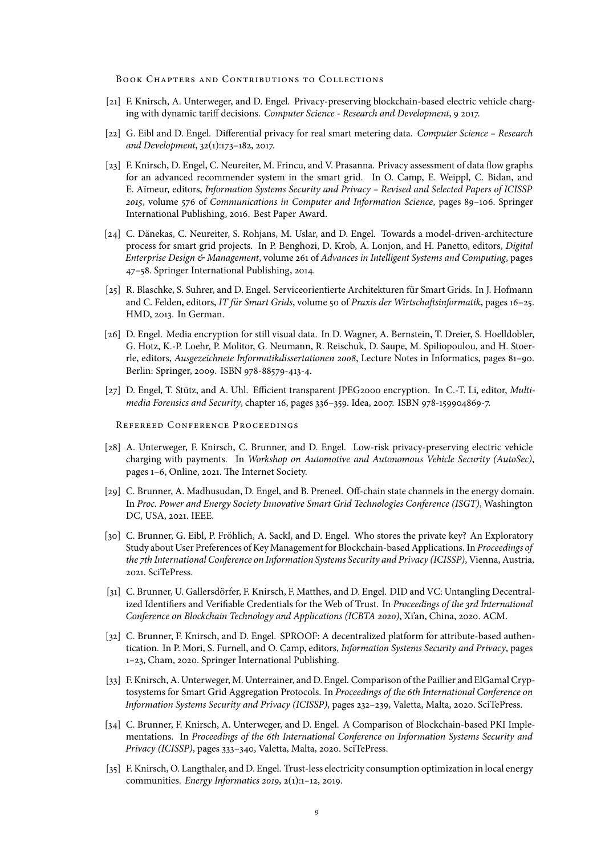BOOK CHAPTERS AND CONTRIBUTIONS TO COLLECTIONS

- [21] F. Knirsch, A. Unterweger, and D. Engel. Privacy-preserving blockchain-based electric vehicle charging with dynamic tariff decisions. Computer Science - Research and Development, 9 2017.
- [22] G. Eibl and D. Engel. Differential privacy for real smart metering data. Computer Science Research and Development, 32(1):173–182, 2017.
- [23] F. Knirsch, D. Engel, C. Neureiter, M. Frincu, and V. Prasanna. Privacy assessment of data flow graphs for an advanced recommender system in the smart grid. In O. Camp, E. Weippl, C. Bidan, and E. Aïmeur, editors, Information Systems Security and Privacy - Revised and Selected Papers of ICISSP 2015, volume 576 of Communications in Computer and Information Science, pages 89–106. Springer International Publishing, 2016. Best Paper Award.
- [24] C. Dänekas, C. Neureiter, S. Rohjans, M. Uslar, and D. Engel. Towards a model-driven-architecture process for smart grid projects. In P. Benghozi, D. Krob, A. Lonjon, and H. Panetto, editors, Digital Enterprise Design & Management, volume 261 of Advances in Intelligent Systems and Computing, pages 47–58. Springer International Publishing, 2014.
- [25] R. Blaschke, S. Suhrer, and D. Engel. Serviceorientierte Architekturen fur Smart Grids. In J. Hofmann ¨ and C. Felden, editors, IT für Smart Grids, volume 50 of Praxis der Wirtschaftsinformatik, pages 16-25. HMD, 2013. In German.
- [26] D. Engel. Media encryption for still visual data. In D. Wagner, A. Bernstein, T. Dreier, S. Hoelldobler, G. Hotz, K.-P. Loehr, P. Molitor, G. Neumann, R. Reischuk, D. Saupe, M. Spiliopoulou, and H. Stoerrle, editors, Ausgezeichnete Informatikdissertationen 2008, Lecture Notes in Informatics, pages 81–90. Berlin: Springer, 2009. ISBN 978-88579-413-4.
- [27] D. Engel, T. Stütz, and A. Uhl. Efficient transparent JPEG2000 encryption. In C.-T. Li, editor, *Multi*media Forensics and Security, chapter 16, pages 336–359. Idea, 2007. ISBN 978-159904869-7.

Refereed Conference Proceedings

- [28] A. Unterweger, F. Knirsch, C. Brunner, and D. Engel. Low-risk privacy-preserving electric vehicle charging with payments. In Workshop on Automotive and Autonomous Vehicle Security (AutoSec), pages 1–6, Online, 2021. The Internet Society.
- [29] C. Brunner, A. Madhusudan, D. Engel, and B. Preneel. Off-chain state channels in the energy domain. In Proc. Power and Energy Society Innovative Smart Grid Technologies Conference (ISGT), Washington DC, USA, 2021. IEEE.
- [30] C. Brunner, G. Eibl, P. Fröhlich, A. Sackl, and D. Engel. Who stores the private key? An Exploratory Study about User Preferences of Key Management for Blockchain-based Applications. In Proceedings of the 7th International Conference on Information Systems Security and Privacy (ICISSP), Vienna, Austria, 2021. SciTePress.
- [31] C. Brunner, U. Gallersdörfer, F. Knirsch, F. Matthes, and D. Engel. DID and VC: Untangling Decentralized Identifiers and Verifiable Credentials for the Web of Trust. In Proceedings of the 3rd International Conference on Blockchain Technology and Applications (ICBTA 2020), Xi'an, China, 2020. ACM.
- [32] C. Brunner, F. Knirsch, and D. Engel. SPROOF: A decentralized platform for attribute-based authentication. In P. Mori, S. Furnell, and O. Camp, editors, Information Systems Security and Privacy, pages 1–23, Cham, 2020. Springer International Publishing.
- [33] F. Knirsch, A. Unterweger, M. Unterrainer, and D. Engel. Comparison of the Paillier and ElGamal Cryptosystems for Smart Grid Aggregation Protocols. In Proceedings of the 6th International Conference on Information Systems Security and Privacy (ICISSP), pages 232–239, Valetta, Malta, 2020. SciTePress.
- [34] C. Brunner, F. Knirsch, A. Unterweger, and D. Engel. A Comparison of Blockchain-based PKI Implementations. In Proceedings of the 6th International Conference on Information Systems Security and Privacy (ICISSP), pages 333–340, Valetta, Malta, 2020. SciTePress.
- [35] F. Knirsch, O. Langthaler, and D. Engel. Trust-less electricity consumption optimization in local energy communities. Energy Informatics 2019, 2(1):1–12, 2019.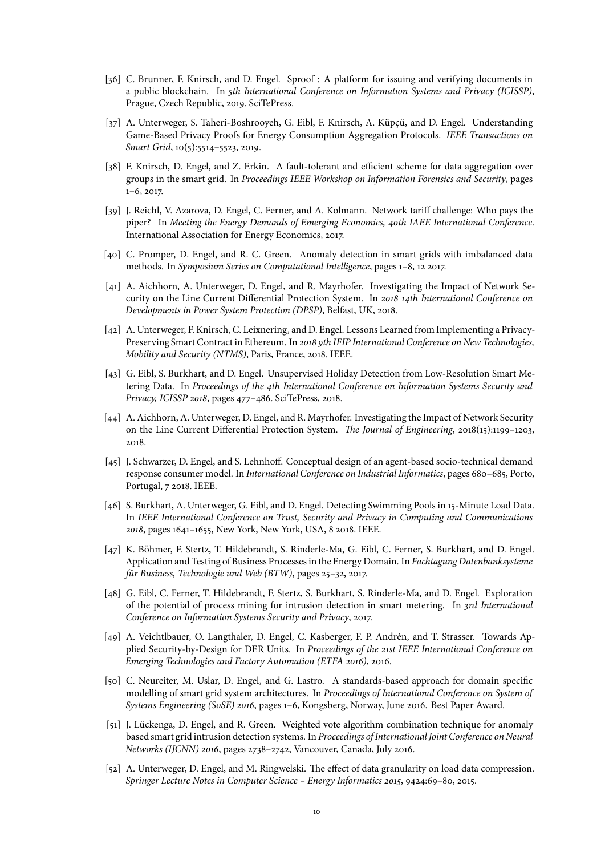- [36] C. Brunner, F. Knirsch, and D. Engel. Sproof : A platform for issuing and verifying documents in a public blockchain. In 5th International Conference on Information Systems and Privacy (ICISSP), Prague, Czech Republic, 2019. SciTePress.
- [37] A. Unterweger, S. Taheri-Boshrooyeh, G. Eibl, F. Knirsch, A. Küpçü, and D. Engel. Understanding Game-Based Privacy Proofs for Energy Consumption Aggregation Protocols. IEEE Transactions on Smart Grid, 10(5):5514–5523, 2019.
- [38] F. Knirsch, D. Engel, and Z. Erkin. A fault-tolerant and efficient scheme for data aggregation over groups in the smart grid. In Proceedings IEEE Workshop on Information Forensics and Security, pages 1–6, 2017.
- [39] J. Reichl, V. Azarova, D. Engel, C. Ferner, and A. Kolmann. Network tariff challenge: Who pays the piper? In Meeting the Energy Demands of Emerging Economies, 40th IAEE International Conference. International Association for Energy Economics, 2017.
- [40] C. Promper, D. Engel, and R. C. Green. Anomaly detection in smart grids with imbalanced data methods. In Symposium Series on Computational Intelligence, pages 1–8, 12 2017.
- [41] A. Aichhorn, A. Unterweger, D. Engel, and R. Mayrhofer. Investigating the Impact of Network Security on the Line Current Differential Protection System. In 2018 14th International Conference on Developments in Power System Protection (DPSP), Belfast, UK, 2018.
- [42] A. Unterweger, F. Knirsch, C. Leixnering, and D. Engel. Lessons Learned from Implementing a Privacy-Preserving Smart Contract in Ethereum. In 2018 9th IFIP International Conference on New Technologies, Mobility and Security (NTMS), Paris, France, 2018. IEEE.
- [43] G. Eibl, S. Burkhart, and D. Engel. Unsupervised Holiday Detection from Low-Resolution Smart Metering Data. In Proceedings of the 4th International Conference on Information Systems Security and Privacy, ICISSP 2018, pages 477–486. SciTePress, 2018.
- [44] A. Aichhorn, A. Unterweger, D. Engel, and R. Mayrhofer. Investigating the Impact of Network Security on the Line Current Differential Protection System. The Journal of Engineering, 2018(15):1199–1203, 2018.
- [45] J. Schwarzer, D. Engel, and S. Lehnhoff. Conceptual design of an agent-based socio-technical demand response consumer model. In International Conference on Industrial Informatics, pages 680–685, Porto, Portugal, 7 2018. IEEE.
- [46] S. Burkhart, A. Unterweger, G. Eibl, and D. Engel. Detecting Swimming Pools in 15-Minute Load Data. In IEEE International Conference on Trust, Security and Privacy in Computing and Communications 2018, pages 1641–1655, New York, New York, USA, 8 2018. IEEE.
- [47] K. Böhmer, F. Stertz, T. Hildebrandt, S. Rinderle-Ma, G. Eibl, C. Ferner, S. Burkhart, and D. Engel. Application and Testing of Business Processes in the Energy Domain. In Fachtagung Datenbanksysteme für Business, Technologie und Web (BTW), pages 25-32, 2017.
- [48] G. Eibl, C. Ferner, T. Hildebrandt, F. Stertz, S. Burkhart, S. Rinderle-Ma, and D. Engel. Exploration of the potential of process mining for intrusion detection in smart metering. In 3rd International Conference on Information Systems Security and Privacy, 2017.
- [49] A. Veichtlbauer, O. Langthaler, D. Engel, C. Kasberger, F. P. Andren, and T. Strasser. Towards Ap- ´ plied Security-by-Design for DER Units. In Proceedings of the 21st IEEE International Conference on Emerging Technologies and Factory Automation (ETFA 2016), 2016.
- [50] C. Neureiter, M. Uslar, D. Engel, and G. Lastro. A standards-based approach for domain specific modelling of smart grid system architectures. In Proceedings of International Conference on System of Systems Engineering (SoSE) 2016, pages 1–6, Kongsberg, Norway, June 2016. Best Paper Award.
- [51] J. Lückenga, D. Engel, and R. Green. Weighted vote algorithm combination technique for anomaly based smart grid intrusion detection systems. In Proceedings of International Joint Conference on Neural Networks (IJCNN) 2016, pages 2738–2742, Vancouver, Canada, July 2016.
- [52] A. Unterweger, D. Engel, and M. Ringwelski. The effect of data granularity on load data compression. Springer Lecture Notes in Computer Science – Energy Informatics 2015, 9424:69–80, 2015.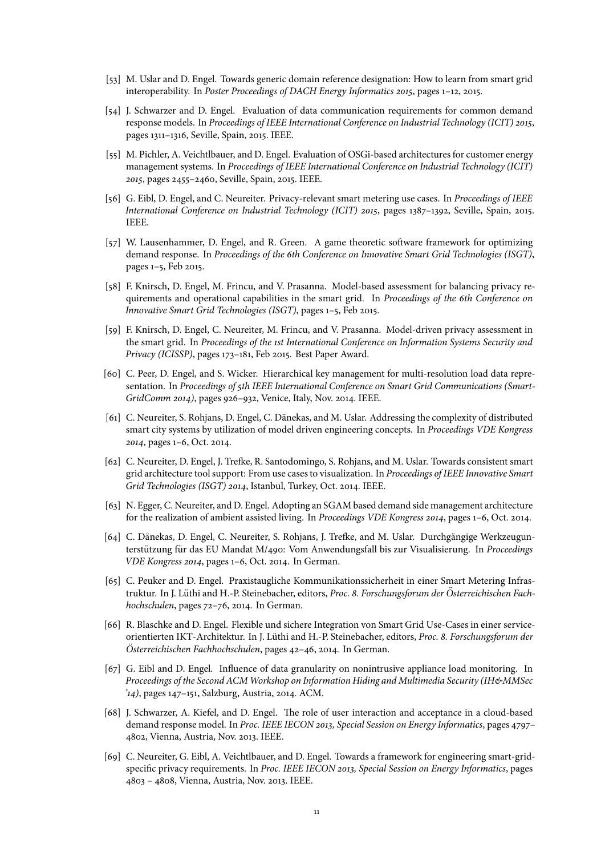- [53] M. Uslar and D. Engel. Towards generic domain reference designation: How to learn from smart grid interoperability. In Poster Proceedings of DACH Energy Informatics 2015, pages 1–12, 2015.
- [54] J. Schwarzer and D. Engel. Evaluation of data communication requirements for common demand response models. In Proceedings of IEEE International Conference on Industrial Technology (ICIT) 2015, pages 1311–1316, Seville, Spain, 2015. IEEE.
- [55] M. Pichler, A. Veichtlbauer, and D. Engel. Evaluation of OSGi-based architectures for customer energy management systems. In Proceedings of IEEE International Conference on Industrial Technology (ICIT) 2015, pages 2455–2460, Seville, Spain, 2015. IEEE.
- [56] G. Eibl, D. Engel, and C. Neureiter. Privacy-relevant smart metering use cases. In Proceedings of IEEE International Conference on Industrial Technology (ICIT) 2015, pages 1387–1392, Seville, Spain, 2015. IEEE.
- [57] W. Lausenhammer, D. Engel, and R. Green. A game theoretic software framework for optimizing demand response. In Proceedings of the 6th Conference on Innovative Smart Grid Technologies (ISGT), pages 1–5, Feb 2015.
- [58] F. Knirsch, D. Engel, M. Frincu, and V. Prasanna. Model-based assessment for balancing privacy requirements and operational capabilities in the smart grid. In Proceedings of the 6th Conference on Innovative Smart Grid Technologies (ISGT), pages 1–5, Feb 2015.
- [59] F. Knirsch, D. Engel, C. Neureiter, M. Frincu, and V. Prasanna. Model-driven privacy assessment in the smart grid. In Proceedings of the 1st International Conference on Information Systems Security and Privacy (ICISSP), pages 173–181, Feb 2015. Best Paper Award.
- [60] C. Peer, D. Engel, and S. Wicker. Hierarchical key management for multi-resolution load data representation. In Proceedings of 5th IEEE International Conference on Smart Grid Communications (Smart-GridComm 2014), pages 926–932, Venice, Italy, Nov. 2014. IEEE.
- [61] C. Neureiter, S. Rohjans, D. Engel, C. Dänekas, and M. Uslar. Addressing the complexity of distributed smart city systems by utilization of model driven engineering concepts. In Proceedings VDE Kongress 2014, pages 1–6, Oct. 2014.
- [62] C. Neureiter, D. Engel, J. Trefke, R. Santodomingo, S. Rohjans, and M. Uslar. Towards consistent smart grid architecture tool support: From use cases to visualization. In Proceedings of IEEE Innovative Smart Grid Technologies (ISGT) 2014, Istanbul, Turkey, Oct. 2014. IEEE.
- [63] N. Egger, C. Neureiter, and D. Engel. Adopting an SGAM based demand side management architecture for the realization of ambient assisted living. In Proceedings VDE Kongress 2014, pages 1–6, Oct. 2014.
- [64] C. Dänekas, D. Engel, C. Neureiter, S. Rohjans, J. Trefke, and M. Uslar. Durchgängige Werkzeugunterstützung für das EU Mandat M/490: Vom Anwendungsfall bis zur Visualisierung. In Proceedings VDE Kongress 2014, pages 1–6, Oct. 2014. In German.
- [65] C. Peuker and D. Engel. Praxistaugliche Kommunikationssicherheit in einer Smart Metering Infrastruktur. In J. Lüthi and H.-P. Steinebacher, editors, Proc. 8. Forschungsforum der Österreichischen Fachhochschulen, pages 72–76, 2014. In German.
- [66] R. Blaschke and D. Engel. Flexible und sichere Integration von Smart Grid Use-Cases in einer serviceorientierten IKT-Architektur. In J. Lüthi and H.-P. Steinebacher, editors, Proc. 8. Forschungsforum der Österreichischen Fachhochschulen, pages 42-46, 2014. In German.
- [67] G. Eibl and D. Engel. Influence of data granularity on nonintrusive appliance load monitoring. In Proceedings of the Second ACM Workshop on Information Hiding and Multimedia Security (IH&MMSec '14), pages 147–151, Salzburg, Austria, 2014. ACM.
- [68] J. Schwarzer, A. Kiefel, and D. Engel. The role of user interaction and acceptance in a cloud-based demand response model. In Proc. IEEE IECON 2013, Special Session on Energy Informatics, pages 4797– 4802, Vienna, Austria, Nov. 2013. IEEE.
- [69] C. Neureiter, G. Eibl, A. Veichtlbauer, and D. Engel. Towards a framework for engineering smart-gridspecific privacy requirements. In Proc. IEEE IECON 2013, Special Session on Energy Informatics, pages 4803 – 4808, Vienna, Austria, Nov. 2013. IEEE.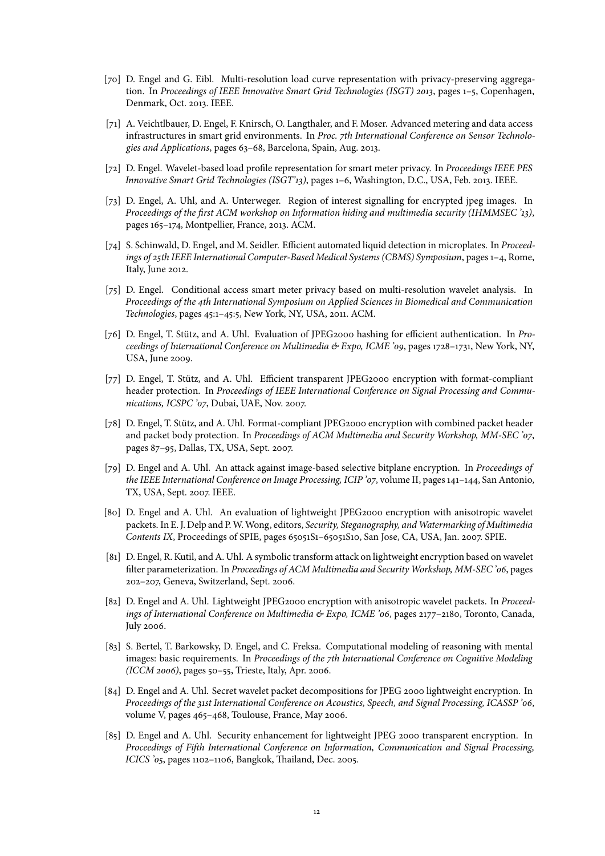- [70] D. Engel and G. Eibl. Multi-resolution load curve representation with privacy-preserving aggregation. In Proceedings of IEEE Innovative Smart Grid Technologies (ISGT) 2013, pages 1-5, Copenhagen, Denmark, Oct. 2013. IEEE.
- [71] A. Veichtlbauer, D. Engel, F. Knirsch, O. Langthaler, and F. Moser. Advanced metering and data access infrastructures in smart grid environments. In Proc. 7th International Conference on Sensor Technologies and Applications, pages 63–68, Barcelona, Spain, Aug. 2013.
- [72] D. Engel. Wavelet-based load profile representation for smart meter privacy. In Proceedings IEEE PES Innovative Smart Grid Technologies (ISGT'13), pages 1–6, Washington, D.C., USA, Feb. 2013. IEEE.
- [73] D. Engel, A. Uhl, and A. Unterweger. Region of interest signalling for encrypted jpeg images. In Proceedings of the first ACM workshop on Information hiding and multimedia security (IHMMSEC '13), pages 165–174, Montpellier, France, 2013. ACM.
- [74] S. Schinwald, D. Engel, and M. Seidler. Efficient automated liquid detection in microplates. In Proceedings of 25th IEEE International Computer-Based Medical Systems (CBMS) Symposium, pages 1–4, Rome, Italy, June 2012.
- [75] D. Engel. Conditional access smart meter privacy based on multi-resolution wavelet analysis. In Proceedings of the 4th International Symposium on Applied Sciences in Biomedical and Communication Technologies, pages 45:1–45:5, New York, NY, USA, 2011. ACM.
- [76] D. Engel, T. Stütz, and A. Uhl. Evaluation of JPEG2000 hashing for efficient authentication. In Proceedings of International Conference on Multimedia & Expo, ICME '09, pages 1728–1731, New York, NY, USA, June 2009.
- [77] D. Engel, T. Stütz, and A. Uhl. Efficient transparent JPEG2000 encryption with format-compliant header protection. In Proceedings of IEEE International Conference on Signal Processing and Communications, ICSPC '07, Dubai, UAE, Nov. 2007.
- [78] D. Engel, T. Stutz, and A. Uhl. Format-compliant JPEG2000 encryption with combined packet header ¨ and packet body protection. In Proceedings of ACM Multimedia and Security Workshop, MM-SEC '07, pages 87–95, Dallas, TX, USA, Sept. 2007.
- [79] D. Engel and A. Uhl. An attack against image-based selective bitplane encryption. In Proceedings of the IEEE International Conference on Image Processing, ICIP '07, volume II, pages 141–144, San Antonio, TX, USA, Sept. 2007. IEEE.
- [80] D. Engel and A. Uhl. An evaluation of lightweight JPEG2000 encryption with anisotropic wavelet packets. In E. J. Delp and P. W. Wong, editors, Security, Steganography, and Watermarking of Multimedia Contents IX, Proceedings of SPIE, pages 65051S1–65051S10, San Jose, CA, USA, Jan. 2007. SPIE.
- [81] D. Engel, R. Kutil, and A. Uhl. A symbolic transform attack on lightweight encryption based on wavelet filter parameterization. In Proceedings of ACM Multimedia and Security Workshop, MM-SEC '06, pages 202–207, Geneva, Switzerland, Sept. 2006.
- [82] D. Engel and A. Uhl. Lightweight JPEG2000 encryption with anisotropic wavelet packets. In Proceedings of International Conference on Multimedia & Expo, ICME '06, pages 2177–2180, Toronto, Canada, July 2006.
- [83] S. Bertel, T. Barkowsky, D. Engel, and C. Freksa. Computational modeling of reasoning with mental images: basic requirements. In Proceedings of the 7th International Conference on Cognitive Modeling (ICCM 2006), pages 50–55, Trieste, Italy, Apr. 2006.
- [84] D. Engel and A. Uhl. Secret wavelet packet decompositions for JPEG 2000 lightweight encryption. In Proceedings of the 31st International Conference on Acoustics, Speech, and Signal Processing, ICASSP '06, volume V, pages 465–468, Toulouse, France, May 2006.
- [85] D. Engel and A. Uhl. Security enhancement for lightweight JPEG 2000 transparent encryption. In Proceedings of Fifth International Conference on Information, Communication and Signal Processing, ICICS '05, pages 1102–1106, Bangkok, Thailand, Dec. 2005.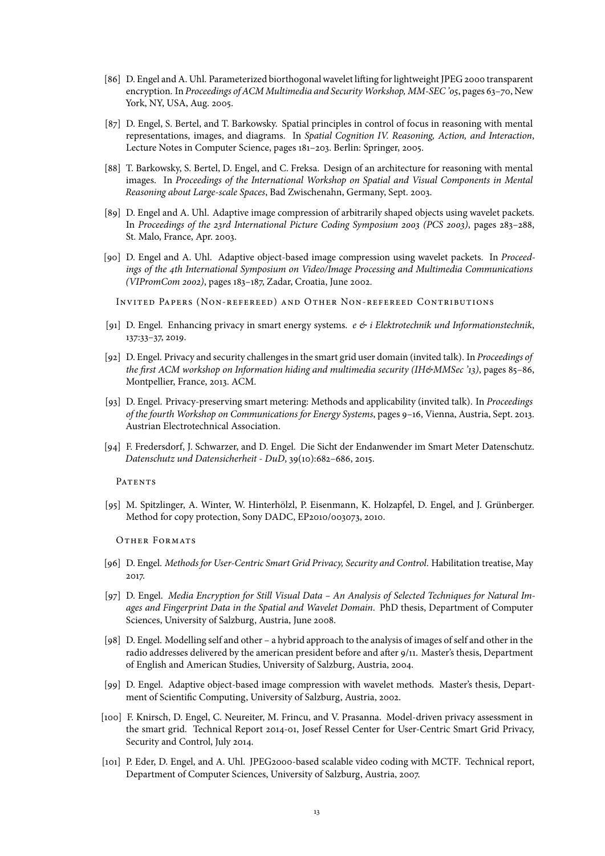- [86] D. Engel and A. Uhl. Parameterized biorthogonal wavelet lifting for lightweight JPEG 2000 transparent encryption. In Proceedings of ACM Multimedia and Security Workshop, MM-SEC '05, pages 63-70, New York, NY, USA, Aug. 2005.
- [87] D. Engel, S. Bertel, and T. Barkowsky. Spatial principles in control of focus in reasoning with mental representations, images, and diagrams. In Spatial Cognition IV. Reasoning, Action, and Interaction, Lecture Notes in Computer Science, pages 181–203. Berlin: Springer, 2005.
- [88] T. Barkowsky, S. Bertel, D. Engel, and C. Freksa. Design of an architecture for reasoning with mental images. In Proceedings of the International Workshop on Spatial and Visual Components in Mental Reasoning about Large-scale Spaces, Bad Zwischenahn, Germany, Sept. 2003.
- [89] D. Engel and A. Uhl. Adaptive image compression of arbitrarily shaped objects using wavelet packets. In Proceedings of the 23rd International Picture Coding Symposium 2003 (PCS 2003), pages 283–288, St. Malo, France, Apr. 2003.
- [90] D. Engel and A. Uhl. Adaptive object-based image compression using wavelet packets. In Proceedings of the 4th International Symposium on Video/Image Processing and Multimedia Communications (VIPromCom 2002), pages 183–187, Zadar, Croatia, June 2002.
	- Inv ited Papers (Non-refereed) and Other Non-refereed Contribut ions
- [91] D. Engel. Enhancing privacy in smart energy systems.  $e \leftrightarrow i$  Elektrotechnik und Informationstechnik, 137:33–37, 2019.
- [92] D. Engel. Privacy and security challenges in the smart grid user domain (invited talk). In Proceedings of the first ACM workshop on Information hiding and multimedia security (IH&MMSec '13), pages 85-86, Montpellier, France, 2013. ACM.
- [93] D. Engel. Privacy-preserving smart metering: Methods and applicability (invited talk). In Proceedings of the fourth Workshop on Communications for Energy Systems, pages 9–16, Vienna, Austria, Sept. 2013. Austrian Electrotechnical Association.
- [94] F. Fredersdorf, J. Schwarzer, and D. Engel. Die Sicht der Endanwender im Smart Meter Datenschutz. Datenschutz und Datensicherheit - DuD, 39(10):682–686, 2015.

**PATENTS** 

[95] M. Spitzlinger, A. Winter, W. Hinterhölzl, P. Eisenmann, K. Holzapfel, D. Engel, and J. Grünberger. Method for copy protection, Sony DADC, EP2010/003073, 2010.

Other Formats

- [96] D. Engel. Methods for User-Centric Smart Grid Privacy, Security and Control. Habilitation treatise, May 2017.
- [97] D. Engel. Media Encryption for Still Visual Data An Analysis of Selected Techniques for Natural Images and Fingerprint Data in the Spatial and Wavelet Domain. PhD thesis, Department of Computer Sciences, University of Salzburg, Austria, June 2008.
- [98] D. Engel. Modelling self and other a hybrid approach to the analysis of images of self and other in the radio addresses delivered by the american president before and after 9/11. Master's thesis, Department of English and American Studies, University of Salzburg, Austria, 2004.
- [99] D. Engel. Adaptive object-based image compression with wavelet methods. Master's thesis, Department of Scientific Computing, University of Salzburg, Austria, 2002.
- [100] F. Knirsch, D. Engel, C. Neureiter, M. Frincu, and V. Prasanna. Model-driven privacy assessment in the smart grid. Technical Report 2014-01, Josef Ressel Center for User-Centric Smart Grid Privacy, Security and Control, July 2014.
- [101] P. Eder, D. Engel, and A. Uhl. JPEG2000-based scalable video coding with MCTF. Technical report, Department of Computer Sciences, University of Salzburg, Austria, 2007.